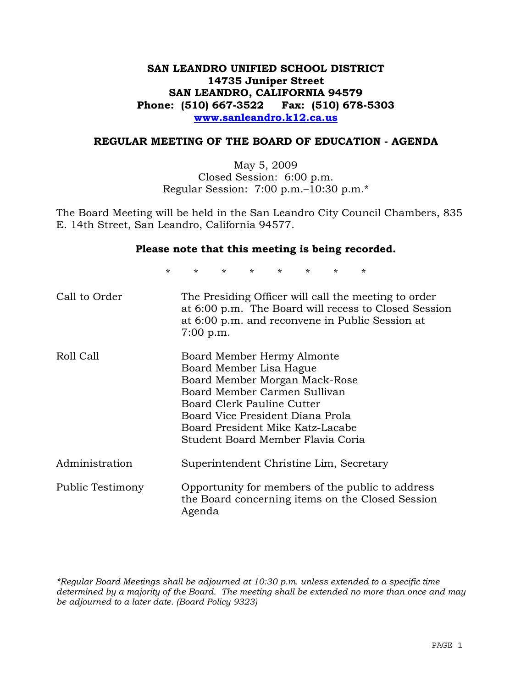## **SAN LEANDRO UNIFIED SCHOOL DISTRICT 14735 Juniper Street SAN LEANDRO, CALIFORNIA 94579 Phone: (510) 667-3522 Fax: (510) 678-5303 www.sanleandro.k12.ca.us**

### **REGULAR MEETING OF THE BOARD OF EDUCATION - AGENDA**

May 5, 2009 Closed Session: 6:00 p.m. Regular Session: 7:00 p.m.–10:30 p.m.\*

The Board Meeting will be held in the San Leandro City Council Chambers, 835 E. 14th Street, San Leandro, California 94577.

#### **Please note that this meeting is being recorded.**

\* \* \* \* \* \* \* \* Call to Order The Presiding Officer will call the meeting to order at 6:00 p.m. The Board will recess to Closed Session

at 6:00 p.m. and reconvene in Public Session at

| Roll Call        | Board Member Hermy Almonte<br>Board Member Lisa Hague<br>Board Member Morgan Mack-Rose<br>Board Member Carmen Sullivan<br>Board Clerk Pauline Cutter<br>Board Vice President Diana Prola<br>Board President Mike Katz-Lacabe<br>Student Board Member Flavia Coria |
|------------------|-------------------------------------------------------------------------------------------------------------------------------------------------------------------------------------------------------------------------------------------------------------------|
| Administration   | Superintendent Christine Lim, Secretary                                                                                                                                                                                                                           |
| Public Testimony | Opportunity for members of the public to address<br>the Board concerning items on the Closed Session<br>Agenda                                                                                                                                                    |

7:00 p.m.

*\*Regular Board Meetings shall be adjourned at 10:30 p.m. unless extended to a specific time determined by a majority of the Board. The meeting shall be extended no more than once and may be adjourned to a later date. (Board Policy 9323)*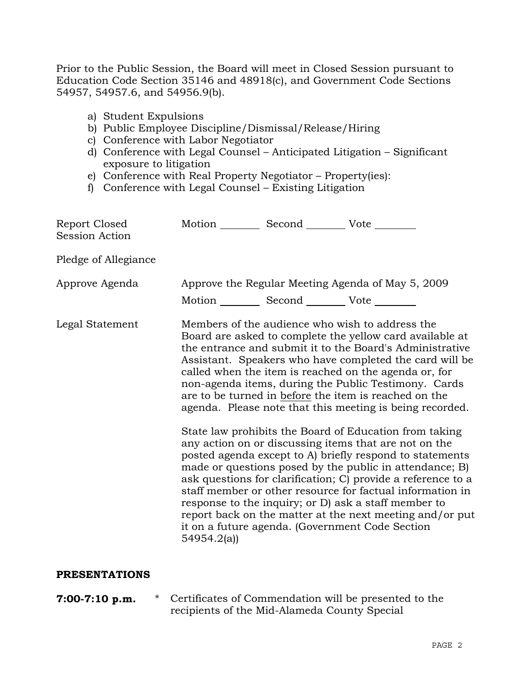Prior to the Public Session, the Board will meet in Closed Session pursuant to Education Code Section 35146 and 48918(c), and Government Code Sections 54957, 54957.6, and 54956.9(b).

- a) Student Expulsions
- b) Public Employee Discipline/Dismissal/Release/Hiring
- c) Conference with Labor Negotiator
- d) Conference with Legal Counsel Anticipated Litigation Significant exposure to litigation
- e) Conference with Real Property Negotiator Property(ies):
- f) Conference with Legal Counsel Existing Litigation

| Report Closed<br><b>Session Action</b> | Motion __________ Second __________ Vote ________     |                                                                                                                                                                                                                                                                                                                                                                                                                                                                                                                                                                                                                                                                                                                                                                                                                                                                                                                                                                                                                        |
|----------------------------------------|-------------------------------------------------------|------------------------------------------------------------------------------------------------------------------------------------------------------------------------------------------------------------------------------------------------------------------------------------------------------------------------------------------------------------------------------------------------------------------------------------------------------------------------------------------------------------------------------------------------------------------------------------------------------------------------------------------------------------------------------------------------------------------------------------------------------------------------------------------------------------------------------------------------------------------------------------------------------------------------------------------------------------------------------------------------------------------------|
| Pledge of Allegiance                   |                                                       |                                                                                                                                                                                                                                                                                                                                                                                                                                                                                                                                                                                                                                                                                                                                                                                                                                                                                                                                                                                                                        |
| Approve Agenda                         | Motion ___________ Second ____________ Vote _________ | Approve the Regular Meeting Agenda of May 5, 2009                                                                                                                                                                                                                                                                                                                                                                                                                                                                                                                                                                                                                                                                                                                                                                                                                                                                                                                                                                      |
| Legal Statement                        | 54954.2(a)                                            | Members of the audience who wish to address the<br>Board are asked to complete the yellow card available at<br>the entrance and submit it to the Board's Administrative<br>Assistant. Speakers who have completed the card will be<br>called when the item is reached on the agenda or, for<br>non-agenda items, during the Public Testimony. Cards<br>are to be turned in before the item is reached on the<br>agenda. Please note that this meeting is being recorded.<br>State law prohibits the Board of Education from taking<br>any action on or discussing items that are not on the<br>posted agenda except to A) briefly respond to statements<br>made or questions posed by the public in attendance; B)<br>ask questions for clarification; C) provide a reference to a<br>staff member or other resource for factual information in<br>response to the inquiry; or D) ask a staff member to<br>report back on the matter at the next meeting and/or put<br>it on a future agenda. (Government Code Section |

### **PRESENTATIONS**

**7:00-7:10 p.m.** \* Certificates of Commendation will be presented to the recipients of the Mid-Alameda County Special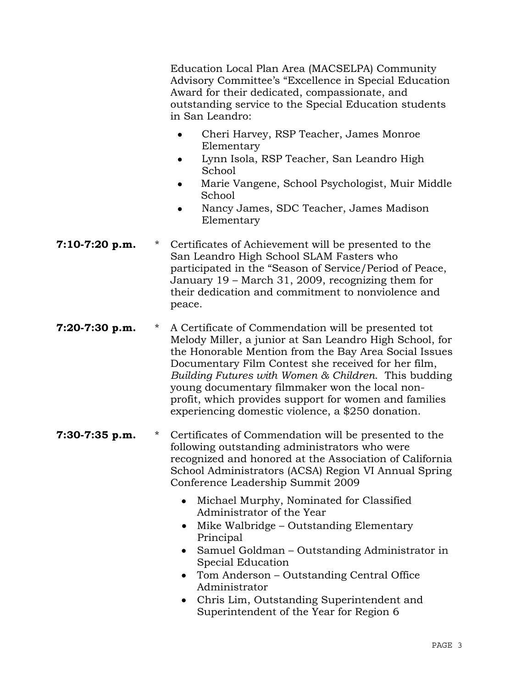Education Local Plan Area (MACSELPA) Community Advisory Committee's "Excellence in Special Education Award for their dedicated, compassionate, and outstanding service to the Special Education students in San Leandro:

- Cheri Harvey, RSP Teacher, James Monroe Elementary
- Lynn Isola, RSP Teacher, San Leandro High School
- Marie Vangene, School Psychologist, Muir Middle School
- Nancy James, SDC Teacher, James Madison Elementary
- **7:10-7:20 p.m.** \* Certificates of Achievement will be presented to the San Leandro High School SLAM Fasters who participated in the "Season of Service/Period of Peace, January 19 – March 31, 2009, recognizing them for their dedication and commitment to nonviolence and peace.
- **7:20-7:30 p.m.** \* A Certificate of Commendation will be presented tot Melody Miller, a junior at San Leandro High School, for the Honorable Mention from the Bay Area Social Issues Documentary Film Contest she received for her film, *Building Futures with Women & Children*. This budding young documentary filmmaker won the local nonprofit, which provides support for women and families experiencing domestic violence, a \$250 donation.
- **7:30-7:35 p.m.** \* Certificates of Commendation will be presented to the following outstanding administrators who were recognized and honored at the Association of California School Administrators (ACSA) Region VI Annual Spring Conference Leadership Summit 2009
	- Michael Murphy, Nominated for Classified Administrator of the Year
	- Mike Walbridge Outstanding Elementary Principal
	- Samuel Goldman Outstanding Administrator in Special Education
	- Tom Anderson Outstanding Central Office Administrator
	- Chris Lim, Outstanding Superintendent and Superintendent of the Year for Region 6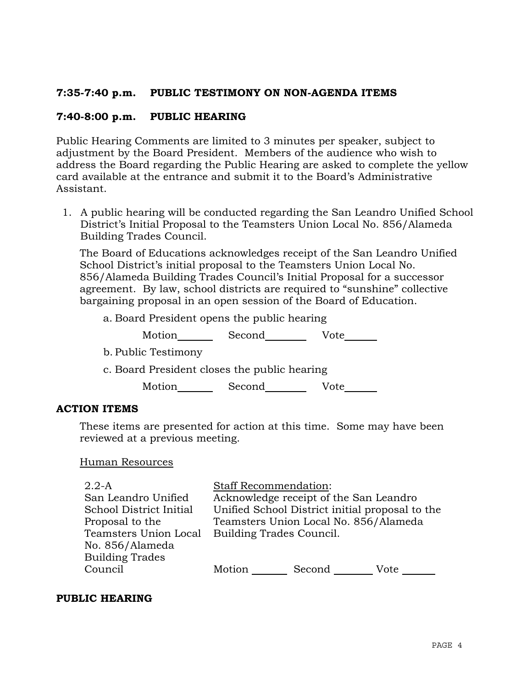# **7:35-7:40 p.m. PUBLIC TESTIMONY ON NON-AGENDA ITEMS**

# **7:40-8:00 p.m. PUBLIC HEARING**

Public Hearing Comments are limited to 3 minutes per speaker, subject to adjustment by the Board President. Members of the audience who wish to address the Board regarding the Public Hearing are asked to complete the yellow card available at the entrance and submit it to the Board's Administrative Assistant.

1. A public hearing will be conducted regarding the San Leandro Unified School District's Initial Proposal to the Teamsters Union Local No. 856/Alameda Building Trades Council.

The Board of Educations acknowledges receipt of the San Leandro Unified School District's initial proposal to the Teamsters Union Local No. 856/Alameda Building Trades Council's Initial Proposal for a successor agreement. By law, school districts are required to "sunshine" collective bargaining proposal in an open session of the Board of Education.

a. Board President opens the public hearing

Motion Second Vote

- b. Public Testimony
- c. Board President closes the public hearing

Motion Second Vote

### **ACTION ITEMS**

These items are presented for action at this time. Some may have been reviewed at a previous meeting.

### Human Resources

| $2.2-A$                 | <b>Staff Recommendation:</b> |                                                 |      |
|-------------------------|------------------------------|-------------------------------------------------|------|
| San Leandro Unified     |                              | Acknowledge receipt of the San Leandro          |      |
| School District Initial |                              | Unified School District initial proposal to the |      |
| Proposal to the         |                              | Teamsters Union Local No. 856/Alameda           |      |
| Teamsters Union Local   | Building Trades Council.     |                                                 |      |
| No. 856/Alameda         |                              |                                                 |      |
| <b>Building Trades</b>  |                              |                                                 |      |
| Council                 | Motion                       | Second                                          | Vote |
|                         |                              |                                                 |      |

## **PUBLIC HEARING**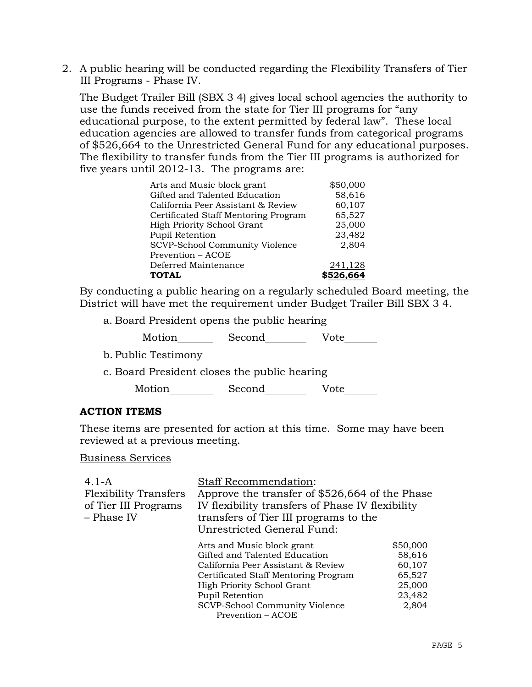2. A public hearing will be conducted regarding the Flexibility Transfers of Tier III Programs - Phase IV.

The Budget Trailer Bill (SBX 3 4) gives local school agencies the authority to use the funds received from the state for Tier III programs for "any educational purpose, to the extent permitted by federal law". These local education agencies are allowed to transfer funds from categorical programs of \$526,664 to the Unrestricted General Fund for any educational purposes. The flexibility to transfer funds from the Tier III programs is authorized for five years until 2012-13. The programs are:

| Arts and Music block grant           | \$50,000  |
|--------------------------------------|-----------|
| Gifted and Talented Education        | 58,616    |
| California Peer Assistant & Review   | 60,107    |
| Certificated Staff Mentoring Program | 65,527    |
| High Priority School Grant           | 25,000    |
| Pupil Retention                      | 23,482    |
| SCVP-School Community Violence       | 2,804     |
| Prevention – ACOE                    |           |
| Deferred Maintenance                 | 241,128   |
| <b>TOTAL</b>                         | \$526,664 |

By conducting a public hearing on a regularly scheduled Board meeting, the District will have met the requirement under Budget Trailer Bill SBX 3 4.

a. Board President opens the public hearing

| Motion | Second | Vote |
|--------|--------|------|
|--------|--------|------|

- b. Public Testimony
- c. Board President closes the public hearing

Motion Second Vote

### **ACTION ITEMS**

These items are presented for action at this time. Some may have been reviewed at a previous meeting.

Business Services

| $4.1 - A$                    | <b>Staff Recommendation:</b>                     |          |
|------------------------------|--------------------------------------------------|----------|
| <b>Flexibility Transfers</b> | Approve the transfer of \$526,664 of the Phase   |          |
| of Tier III Programs         | IV flexibility transfers of Phase IV flexibility |          |
| – Phase IV                   | transfers of Tier III programs to the            |          |
|                              | Unrestricted General Fund:                       |          |
|                              | Arts and Music block grant                       | \$50,000 |
|                              | Gifted and Talented Education                    | 58,616   |
|                              | California Peer Assistant & Review               | 60,107   |
|                              | Certificated Staff Mentoring Program             | 65,527   |
|                              | High Priority School Grant                       | 25,000   |
|                              | Pupil Retention                                  | 23,482   |
|                              | SCVP-School Community Violence                   | 2,804    |
|                              | Prevention – ACOE                                |          |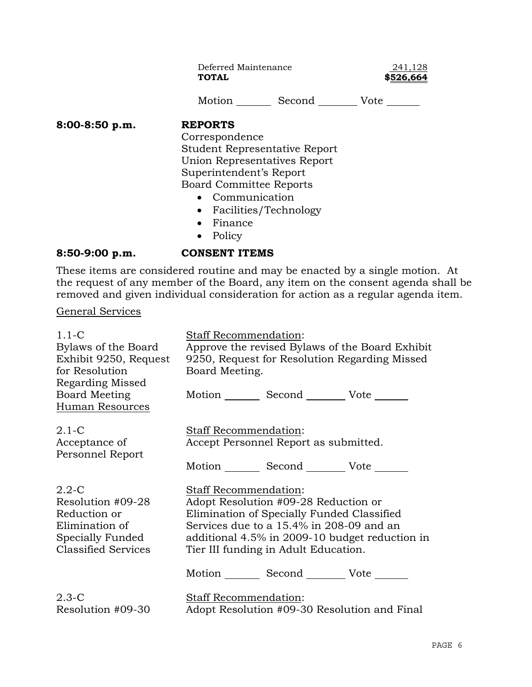Deferred Maintenance 241,128 **TOTAL \$526,664**

Motion Second Vote \_\_\_\_\_\_

**8:00-8:50 p.m. REPORTS**

 Correspondence Student Representative Report Union Representatives Report Superintendent's Report Board Committee Reports

- Communication
- Facilities/Technology
- Finance
- Policy

## **8:50-9:00 p.m. CONSENT ITEMS**

These items are considered routine and may be enacted by a single motion. At the request of any member of the Board, any item on the consent agenda shall be removed and given individual consideration for action as a regular agenda item.

### General Services

| $1.1-C$<br>Bylaws of the Board<br>Exhibit 9250, Request<br>for Resolution<br>Regarding Missed<br><b>Board Meeting</b><br>Human Resources | <b>Staff Recommendation:</b><br>Approve the revised Bylaws of the Board Exhibit<br>9250, Request for Resolution Regarding Missed<br>Board Meeting.<br>Motion _________ Second __________ Vote _______                                                                   |
|------------------------------------------------------------------------------------------------------------------------------------------|-------------------------------------------------------------------------------------------------------------------------------------------------------------------------------------------------------------------------------------------------------------------------|
| $2.1 - C$                                                                                                                                | Staff Recommendation:                                                                                                                                                                                                                                                   |
| Acceptance of                                                                                                                            | Accept Personnel Report as submitted.                                                                                                                                                                                                                                   |
| Personnel Report                                                                                                                         | Motion _________ Second __________ Vote _______                                                                                                                                                                                                                         |
| $2.2 - C$<br>Resolution #09-28<br>Reduction or<br>Elimination of<br>Specially Funded<br><b>Classified Services</b>                       | Staff Recommendation:<br>Adopt Resolution #09-28 Reduction or<br>Elimination of Specially Funded Classified<br>Services due to a 15.4% in 208-09 and an<br>additional 4.5% in 2009-10 budget reduction in<br>Tier III funding in Adult Education.<br>Motion Second Vote |
| $2.3-C$                                                                                                                                  | Staff Recommendation:                                                                                                                                                                                                                                                   |
| Resolution #09-30                                                                                                                        | Adopt Resolution #09-30 Resolution and Final                                                                                                                                                                                                                            |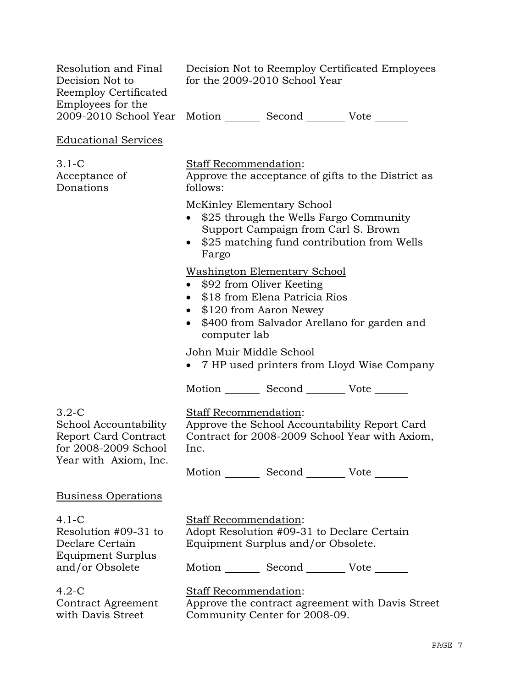| Resolution and Final<br>Decision Not to<br>Reemploy Certificated<br>Employees for the        | Decision Not to Reemploy Certificated Employees<br>for the 2009-2010 School Year<br>2009-2010 School Year Motion ________ Second ________ Vote ______                                                                            |
|----------------------------------------------------------------------------------------------|----------------------------------------------------------------------------------------------------------------------------------------------------------------------------------------------------------------------------------|
| <b>Educational Services</b>                                                                  |                                                                                                                                                                                                                                  |
| $3.1-C$<br>Acceptance of<br>Donations                                                        | Staff Recommendation:<br>Approve the acceptance of gifts to the District as<br>follows:                                                                                                                                          |
|                                                                                              | <b>McKinley Elementary School</b><br>\$25 through the Wells Fargo Community<br>Support Campaign from Carl S. Brown<br>\$25 matching fund contribution from Wells<br>$\bullet$<br>Fargo                                           |
|                                                                                              | <u>Washington Elementary School</u><br>\$92 from Oliver Keeting<br>$\bullet$<br>\$18 from Elena Patricia Rios<br>$\bullet$<br>\$120 from Aaron Newey<br>$\bullet$<br>\$400 from Salvador Arellano for garden and<br>computer lab |
|                                                                                              | John Muir Middle School<br>• 7 HP used printers from Lloyd Wise Company                                                                                                                                                          |
|                                                                                              | Motion _________ Second _________ Vote _______                                                                                                                                                                                   |
| $3.2-C$<br>School Accountability<br>Report Card Contract<br>for 2008-2009 School             | Staff Recommendation:<br>Approve the School Accountability Report Card<br>Contract for 2008-2009 School Year with Axiom,<br>Inc.                                                                                                 |
| Year with Axiom, Inc.                                                                        | Motion _________ Second __________ Vote _______                                                                                                                                                                                  |
| <u>Business Operations</u>                                                                   |                                                                                                                                                                                                                                  |
| $4.1 - C$<br>Resolution #09-31 to<br>Declare Certain<br>Equipment Surplus<br>and/or Obsolete | <b>Staff Recommendation:</b><br>Adopt Resolution #09-31 to Declare Certain<br>Equipment Surplus and/or Obsolete.<br>Motion _________ Second __________ Vote _______                                                              |
| $4.2-C$<br>Contract Agreement<br>with Davis Street                                           | Staff Recommendation:<br>Approve the contract agreement with Davis Street<br>Community Center for 2008-09.                                                                                                                       |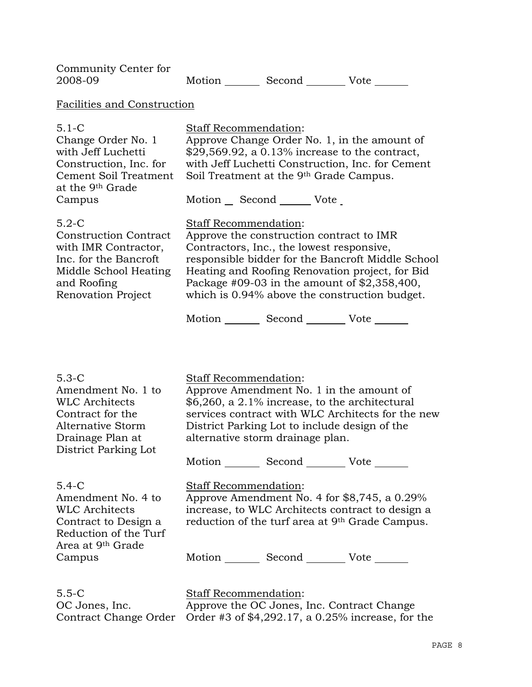| Community Center for<br>2008-09                                                                                                                        |                              |                                                                                                                                          | Motion _________ Second _________ Vote _______                                                                                                                                                                                                      |  |
|--------------------------------------------------------------------------------------------------------------------------------------------------------|------------------------------|------------------------------------------------------------------------------------------------------------------------------------------|-----------------------------------------------------------------------------------------------------------------------------------------------------------------------------------------------------------------------------------------------------|--|
| <b>Facilities and Construction</b>                                                                                                                     |                              |                                                                                                                                          |                                                                                                                                                                                                                                                     |  |
| $5.1 - C$<br>Change Order No. 1<br>with Jeff Luchetti<br>Construction, Inc. for<br>Cement Soil Treatment<br>at the 9 <sup>th</sup> Grade<br>Campus     | Staff Recommendation:        | Soil Treatment at the 9 <sup>th</sup> Grade Campus.<br>Motion Second Vote                                                                | Approve Change Order No. 1, in the amount of<br>$$29,569.92$ , a 0.13% increase to the contract,<br>with Jeff Luchetti Construction, Inc. for Cement                                                                                                |  |
| $5.2-C$<br><b>Construction Contract</b><br>with IMR Contractor,<br>Inc. for the Bancroft<br>Middle School Heating<br>and Roofing<br>Renovation Project | <b>Staff Recommendation:</b> | Approve the construction contract to IMR<br>Contractors, Inc., the lowest responsive,<br>Motion _________ Second __________ Vote _______ | responsible bidder for the Bancroft Middle School<br>Heating and Roofing Renovation project, for Bid<br>Package $#09-03$ in the amount of $$2,358,400$ ,<br>which is 0.94% above the construction budget.                                           |  |
| $5.3-C$<br>Amendment No. 1 to<br><b>WLC Architects</b><br>Contract for the<br><b>Alternative Storm</b><br>Drainage Plan at<br>District Parking Lot     | Staff Recommendation:        | alternative storm drainage plan.                                                                                                         | Approve Amendment No. 1 in the amount of<br>\$6,260, a 2.1% increase, to the architectural<br>services contract with WLC Architects for the new<br>District Parking Lot to include design of the<br>Motion _________ Second __________ Vote _______ |  |
| $5.4-C$<br>Amendment No. 4 to<br><b>WLC Architects</b><br>Contract to Design a<br>Reduction of the Turf<br>Area at 9 <sup>th</sup> Grade<br>Campus     | Staff Recommendation:        |                                                                                                                                          | Approve Amendment No. 4 for \$8,745, a 0.29%<br>increase, to WLC Architects contract to design a<br>reduction of the turf area at 9 <sup>th</sup> Grade Campus.<br>Motion _________ Second ___________ Vote _______                                 |  |
| $5.5 - C$<br>OC Jones, Inc.<br>Contract Change Order                                                                                                   | <b>Staff Recommendation:</b> |                                                                                                                                          | Approve the OC Jones, Inc. Contract Change<br>Order #3 of \$4,292.17, a 0.25% increase, for the                                                                                                                                                     |  |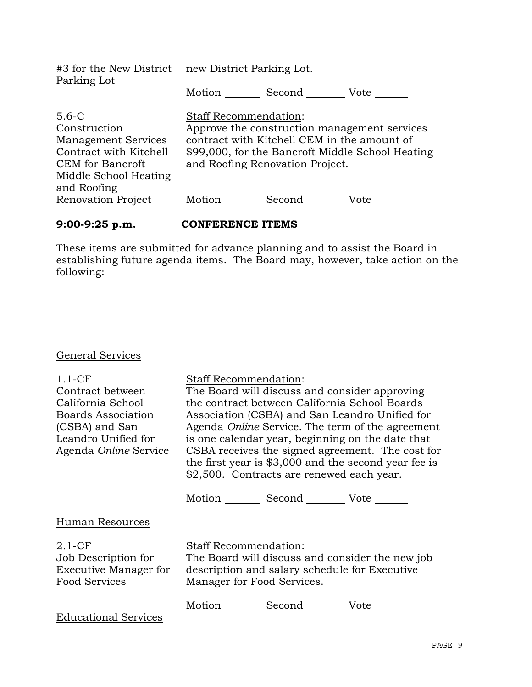| #3 for the New District new District Parking Lot.<br>Parking Lot                                                                                                         |                                        |                                                                                          |                                                                                                          |
|--------------------------------------------------------------------------------------------------------------------------------------------------------------------------|----------------------------------------|------------------------------------------------------------------------------------------|----------------------------------------------------------------------------------------------------------|
|                                                                                                                                                                          | Motion                                 | Second Vote                                                                              |                                                                                                          |
| $5.6-C$<br>Construction<br><b>Management Services</b><br>Contract with Kitchell<br><b>CEM</b> for Bancroft<br>Middle School Heating<br>and Roofing<br>Renovation Project | <b>Staff Recommendation:</b><br>Motion | contract with Kitchell CEM in the amount of<br>and Roofing Renovation Project.<br>Second | Approve the construction management services<br>\$99,000, for the Bancroft Middle School Heating<br>Vote |

## **9:00-9:25 p.m. CONFERENCE ITEMS**

These items are submitted for advance planning and to assist the Board in establishing future agenda items. The Board may, however, take action on the following:

# General Services

| $1.1-CF$<br>Contract between<br>California School<br>Boards Association<br>(CSBA) and San<br>Leandro Unified for<br>Agenda Online Service | Staff Recommendation:                                      | The Board will discuss and consider approving<br>the contract between California School Boards<br>\$2,500. Contracts are renewed each year. | Association (CSBA) and San Leandro Unified for<br>Agenda <i>Online</i> Service. The term of the agreement<br>is one calendar year, beginning on the date that<br>CSBA receives the signed agreement. The cost for<br>the first year is \$3,000 and the second year fee is |
|-------------------------------------------------------------------------------------------------------------------------------------------|------------------------------------------------------------|---------------------------------------------------------------------------------------------------------------------------------------------|---------------------------------------------------------------------------------------------------------------------------------------------------------------------------------------------------------------------------------------------------------------------------|
|                                                                                                                                           |                                                            | Motion Second Vote                                                                                                                          |                                                                                                                                                                                                                                                                           |
| Human Resources                                                                                                                           |                                                            |                                                                                                                                             |                                                                                                                                                                                                                                                                           |
| $2.1 - CF$<br>Job Description for<br><b>Executive Manager for</b><br>Food Services                                                        | <b>Staff Recommendation:</b><br>Manager for Food Services. | description and salary schedule for Executive                                                                                               | The Board will discuss and consider the new job                                                                                                                                                                                                                           |
| <b>Educational Services</b>                                                                                                               | Motion                                                     | Second Vote                                                                                                                                 |                                                                                                                                                                                                                                                                           |